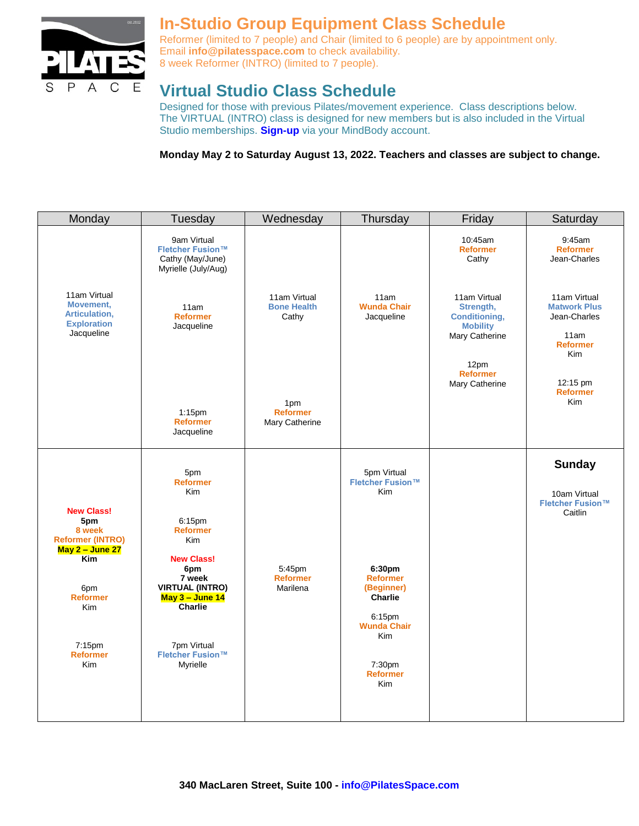

# **In-Studio Group Equipment Class Schedule**

Reformer (limited to 7 people) and Chair (limited to 6 people) are by appointment only. Email **[info@pilatesspace.com](mailto:info@pilatesspace.com)** to check availability. 8 week Reformer (INTRO) (limited to 7 people).

## **Virtual Studio Class Schedule**

Designed for those with previous Pilates/movement experience. Class descriptions below. The VIRTUAL (INTRO) class is designed for new members but is also included in the Virtual Studio memberships. **[Sign-up](https://clients.mindbodyonline.com/classic/ws?studioid=2741&stype=-101&sView=week&sLoc=0)** via your MindBody account.

**Monday May 2 to Saturday August 13, 2022. Teachers and classes are subject to change.** 

| Monday                                                                             | Tuesday                                                                                           | Wednesday                                   | Thursday                                                                                         | Friday                                                                                                                              | Saturday                                                                                                             |
|------------------------------------------------------------------------------------|---------------------------------------------------------------------------------------------------|---------------------------------------------|--------------------------------------------------------------------------------------------------|-------------------------------------------------------------------------------------------------------------------------------------|----------------------------------------------------------------------------------------------------------------------|
|                                                                                    | 9am Virtual<br>Fletcher Fusion™<br>Cathy (May/June)<br>Myrielle (July/Aug)                        |                                             |                                                                                                  | 10:45am<br><b>Reformer</b><br>Cathy                                                                                                 | $9:45$ am<br><b>Reformer</b><br>Jean-Charles                                                                         |
| 11am Virtual<br>Movement,<br>Articulation,<br><b>Exploration</b><br>Jacqueline     | 11am<br><b>Reformer</b><br>Jacqueline                                                             | 11am Virtual<br><b>Bone Health</b><br>Cathy | 11am<br><b>Wunda Chair</b><br>Jacqueline                                                         | 11am Virtual<br>Strength,<br><b>Conditioning,</b><br><b>Mobility</b><br>Mary Catherine<br>12pm<br><b>Reformer</b><br>Mary Catherine | 11am Virtual<br><b>Matwork Plus</b><br>Jean-Charles<br>11am<br><b>Reformer</b><br>Kim<br>12:15 pm<br><b>Reformer</b> |
|                                                                                    | $1:15$ pm<br><b>Reformer</b><br>Jacqueline                                                        | 1pm<br><b>Reformer</b><br>Mary Catherine    |                                                                                                  |                                                                                                                                     | Kim                                                                                                                  |
| <b>New Class!</b><br>5pm<br>8 week<br><b>Reformer (INTRO)</b><br>May $2 -$ June 27 | 5pm<br><b>Reformer</b><br>Kim<br>6:15pm<br><b>Reformer</b><br>Kim                                 |                                             | 5pm Virtual<br>Fletcher Fusion™<br><b>Kim</b>                                                    |                                                                                                                                     | <b>Sunday</b><br>10am Virtual<br><b>Fletcher Fusion™</b><br>Caitlin                                                  |
| <b>Kim</b><br>6pm<br><b>Reformer</b><br><b>Kim</b>                                 | <b>New Class!</b><br>6pm<br>7 week<br><b>VIRTUAL (INTRO)</b><br>May 3 - June 14<br><b>Charlie</b> | 5:45pm<br><b>Reformer</b><br>Marilena       | 6:30pm<br><b>Reformer</b><br>(Beginner)<br>Charlie<br>6:15pm<br><b>Wunda Chair</b><br><b>Kim</b> |                                                                                                                                     |                                                                                                                      |
| 7:15pm<br><b>Reformer</b><br><b>Kim</b>                                            | 7pm Virtual<br>Fletcher Fusion™<br>Myrielle                                                       |                                             | 7:30pm<br><b>Reformer</b><br>Kim                                                                 |                                                                                                                                     |                                                                                                                      |